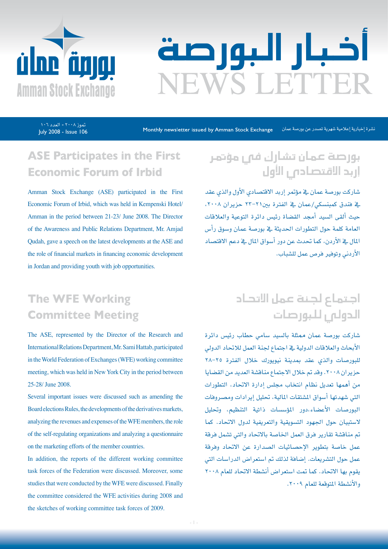

# اخبار البورصة **JEWS LETTER**

July 2008 - Issue 106 تموز ۲۰۰۸ - العدد ۱۰٦

Monthly newsletter issued by Amman Stock Exchange نشرة إخبارية إعلامية شهرية تصدر عن بورصة عمان

# **ASE Participates in the First Economic Forum of Irbid**

Amman Stock Exchange (ASE) participated in the First Economic Forum of Irbid, which was held in Kempenski Hotel/ Amman in the period between 21-23/ June 2008. The Director of the Awareness and Public Relations Department, Mr. Amjad Qudah, gave a speech on the latest developments at the ASE and the role of financial markets in financing economic development in Jordan and providing youth with job opportunities.

# **The WFE Working Committee Meeting**

The ASE, represented by the Director of the Research and International Relations Department, Mr. Sami Hattab, participated in the World Federation of Exchanges (WFE) working committee meeting, which was held in New York City in the period between 25-28/ June 2008.

Several important issues were discussed such as amending the Board elections Rules, the developments of the derivatives markets, analyzing the revenues and expenses of the WFE members, the role of the self-regulating organizations and analyzing a questionnaire on the marketing efforts of the member countries.

In addition, the reports of the different working committee task forces of the Federation were discussed. Moreover, some studies that were conducted by the WFE were discussed. Finally the committee considered the WFE activities during 2008 and the sketches of working committee task forces of 2009.

# بورصة عمان تشارك فى مؤتمر إربد االقت�صادي الأول

شاركت بورصة عمان يق مؤتمر إربد الاقتصادي الأول والذي عقد ية فندق كمبنسكي/عمان ية الفترة بين٢١-٢٣ حزيران ٢٠٠٨، حيث ألقى السيد أمجد القضاة رئيس دائرة التوعية والعلاقات العامة كلمة حول التطورات الحديثة يخ بورصة عمان وسوق رأس المال يقـ الأردن، كما تحدث عن دور أسواق المال يقـ دعم الاقتصاد الأردين وتوفري فر�ص عمل لل�شباب.

# اجتماع لجنة عمل الاتحاد الدولي للبورصات

�شاركت بور�صة عمان ممثلة بال�سيد �سامي حطاب رئي�س دائرة الأبحاث والعلاقات الدولية ية اجتماع لجنة العمل للاتحاد الدولى للبور�صات والذي عقد مبدينة نيويورك خالل الفرتة 28-25 حزيران ٢٠٠٨. وقد تم خلال الاجتماع مناقشة العديد من القضايا من أهمها تعديل نظام انتخاب مجلس إدارة الاتحاد، التطورات التي شهدتها أسواق المشتقات المالية، تحليل إيرادات ومصروفات البورصات الأعضاء،دور المؤسسات ذاتية التنظيم، وتحليل لاستبيان حول الجهود التسويقية والتعريفية لدول الاتحاد. كما تم مناقشة تقارير فرق العمل الخاصة بالاتحاد والتي تشمل فرقة عمل خاصة بتطوير الإحصائيات الصدارة عن الاتحاد وفرقة عمل حول التشريعات. إضافة لذلك تم استعراض الدراسات التي يقوم بها الاتحاد. كما تمت استعراض أنشطة الاتحاد للعام ٢٠٠٨ والأنشطة المتوقعة للعام ٢٠٠٩.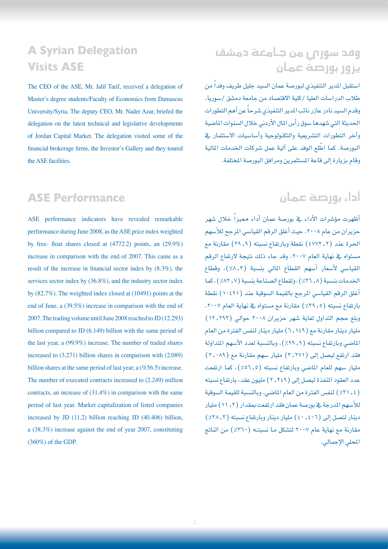#### **A Syrian Delegation Visits ASE**

The CEO of the ASE, Mr. Jalil Tarif, received a delegation of Master's degree students/Faculty of Economics from Damascus University/Syria. The deputy CEO, Mr. Nader Azar, briefed the delegation on the latest technical and legislative developments of Jordan Capital Market. The delegation visited some of the financial brokerage firms, the Investor's Gallery and they toured the ASE facilities.

#### **ASE Performance**

ASE performance indicators have revealed remarkable performance during June 2008, as the ASE price index weighted by free-float shares closed at  $(4772.2)$  points, an  $(29.9\%)$ increase in comparison with the end of 2007. This came as a result of the increase in financial sector index by  $(8.3\%)$ , the services sector index by  $(36.8\%)$ , and the industry sector index by  $(82.7\%)$ . The weighted index closed at  $(10491)$  points at the end of June, a  $(39.5%)$  increase in comparison with the end of 2007. The trading volume until June 2008 reached to JD  $(12.293)$ billion compared to JD  $(6.149)$  billion with the same period of the last year, a  $(99.9\%)$  increase. The number of traded shares increased to  $(3.271)$  billion shares in comparison with  $(2.089)$ billion shares at the same period of last year, a  $(\%56.5)$  increase. The number of executed contracts increased to  $(2.249)$  million contracts, an increase of  $(31.4\%)$  in comparison with the same period of last year. Market capitalization of listed companies increased by JD  $(11.2)$  billion reaching JD  $(40.406)$  billion, a  $(38.3%)$  increase against the end of year 2007, constituting  $(360\%)$  of the GDP.

# وفد �سوري من جامعة دم�شق يزور بور�صة عمان

استقبل المدير التنفيذي لبورصة عمان السيد جليل طريف وفداً من طلاب الدراسات العليا /كلية الاقتصاد من جامعة دمشق /سوريا. وقدم السيد نادر عازر نائب المدير التنفيذي شرحاً عن أهم التطورات الحديثة التي شهدها سوق رأس المال الأردني خلال السنوات الماضية وآخر التطورات التشريعية والتكنولوجية وأساسيات الاستثمار يخ البورصة. كما اطّلع الوفد على آلية عمل شركات الخدمات المالية وقام بزيارة إلى قاعة المستثمرين ومرافق البورصة المختلفة.

#### أداء بور�صة عمان

ظهرت مؤشرات الأداء ية بورصة عمان أداء مميزاً خلال شهر حزيران من عام ٢٠٠٨. حيث أغلق الرقم القياسي المرجح للأسهم الحرة عند (٤٧٧٢٫٢) نقطة وبارتفاع نسبته (٢٩,٩) مقارنة مع م�ستواه يف نهاية العام ،2007 وقد جاء ذلك نتيجة الرتفاع الرقم القياسي لأسعار أسهم القطاع المالي بنسبة (٨,٢٪)، وقطاع الخدمات بنسبة (٨, ٣٦٪)، ولقطاع الصناعة بنسبة (٧, ٨٢٪)، كما أغلق الرقم القياسي المرجح بالقيمة السوقية عند (١٠٤٩١) نقطة بارتفاع نسبته (٥, ٢٩٪) مقارنة مع مستواه في نهاية العام ٢٠٠٧. وبلغ حجم التداول لغاية شهر حزيران ٢٠٠٨ حوالي (١٢.٢٩٣) مليار دينار مقارنة مع )6.149( مليار دينار لنف�س الفرتة من العام الماضي وبارتفاع نسبته (٩٩,٩). وبالنسبة لعدد الأسهم المتداولة فقد ارتفع ليصل إلى (٢,٢٧١) مليار سهم مقارنة مع (٢,٠٨٩) مليار سهم للعام الماضي وبارتفاع نسبته (٢,٥٦٫٥)، كما ارتفعت عدد العقود المنفذة ليصل إلى (٢,٢٤٩) مليون عقد، بارتفاع نسبته )%31.4( لنف�س الفرتة من العام املا�ضي. وبالن�سبة للقيمة ال�سوقية للأسهم المدرجة ية بورصة عمان فقد ارتفعت بمقدار (11, 11) مليار  $(24,7)$ دينار لتصل إلى (٤٠,٤٠٦) مليار دينار وبارتفاع نسبته (7,٨٢٪) مقارنة مع نهاية عام ٢٠٠٧ لتشكل مـا نسبتـه ( ٣٦٠٪) من الناتج املحلي الإجمايل.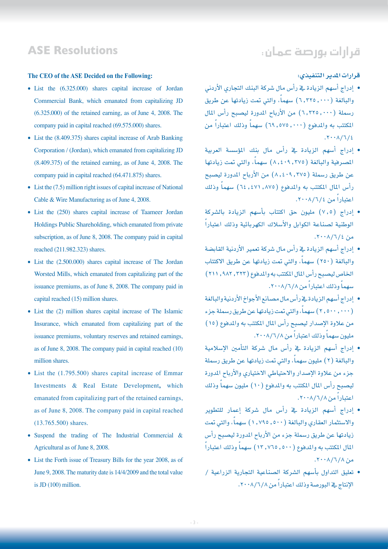#### قرارات بور�صة عمان:

#### **ASE Resolutions**

#### The CEO of the ASE Decided on the Following:

- List the (6.325.000) shares capital increase of Jordan Commercial Bank, which emanated from capitalizing JD  $(6.325.000)$  of the retained earning, as of June 4, 2008. The company paid in capital reached (69.575.000) shares.
- $\bullet$  List the (8.409.375) shares capital increase of Arab Banking Corporation / (Jordan), which emanated from capitalizing JD  $(8.409.375)$  of the retained earning, as of June 4, 2008. The company paid in capital reached  $(64.471.875)$  shares.
- List the (7.5) million right issues of capital increase of National Cable & Wire Manufacturing as of June 4, 2008.
- List the (250) shares capital increase of Taameer Jordan Holdings Public Shareholding, which emanated from private subscription, as of June 8, 2008. The company paid in capital reached (211.982.323) shares.
- $\bullet$  List the  $(2.500.000)$  shares capital increase of The Jordan Worsted Mills, which emanated from capitalizing part of the issuance premiums, as of June 8, 2008. The company paid in capital reached  $(15)$  million shares.
- $\bullet$  List the (2) million shares capital increase of The Islamic Insurance, which emanated from capitalizing part of the issuance premiums, voluntary reserves and retained earnings, as of June 8, 2008. The company paid in capital reached (10) million shares.
- $\bullet$  List the (1.795.500) shares capital increase of Emmar Investments & Real Estate Development, which emanated from capitalizing part of the retained earnings, as of June 8, 2008. The company paid in capital reached  $(13.765.500)$  shares.
- Suspend the trading of The Industrial Commercial  $\&$ Agricultural as of June 8, 2008.
- List the Forth issue of Treasury Bills for the year 2008, as of June 9, 2008. The maturity date is 14/4/2009 and the total value is JD  $(100)$  million.

#### **قرارات املدير التنفيذي:**

- إدراج أ�سهم الزيادة يف رأ�س مال �شركة البنك التجاري الأردين والبالغة (٦,٢٢٥,٠٠٠) سهماً، والتي تمت زيادتها عن طريق رسملة (٦,٢٢٥,٠٠٠) من الأرباح المدورة ليصبح رأس المال المكتتب به والمدفوع (٠٠٠, ٥٧٥, ٦٩) سهماً وذلك اعتباراً من  $.7.1/\sqrt{7/2}$
- إدراج أسهم الزيادة <u>ي</u>ة رأس مال بنك المؤسسة العربية المصرفية والبالغة (٢٧٥, ٨,٤٠٩) سهماً، والتي تمت زيادتها عن طريق رسملة (٢٧٥, ٨,٤٠٩) من الأرباح المدورة ليصبح رأس المال المكتتب به والمدفوع (٢٤,٤٧١,٨٧٥) سهماً وذلك اعتباراً من ١/٦/٤.٢٠٠٨
- إدراج )7.5( مليون حق اكتتاب بأ�سهم الزيادة بال�شركة ֧֖֖֖֖֖֚֚֚֚֚֚֚֚֚֚֟֓֕<br>֧֝֩֩֩֩֩ الوطنية ل�صناعة الكوابل والأ�سالك الكهربائية وذلك اعتبارا  $.7 \cdot \cdot \cdot$  /7/2
- إدراج أ�سهم الزيادة يف رأ�س مال �شركة تعمري الأردنية القاب�ضة والبالغة (٢٥٠) سهماً، والتي تمت زيادتها عن طريق الاكتتاب الخاص ليصبح رأس المال المكتتب به والمدفوع (٢٢٢, ٩٨٢, ٢١١) سهماً وذلك اعتباراً من ١/٦/٨/٢٠٠٨.
- إدراج أ�سهم الزيادة يف رأ�س مال م�صانع الأجواخ الأردنية والبالغة (٢,٥٠٠,٠٠٠) سهماً، والتي تمت زيادتها عن طريق رسملة جزء من علاوة الإصدار ليصبح رأس المال المكتتب به والمدفوع (١٥) مليون سهماً وذلك اعتباراً من ١/٦/٨×٢٠٠.
- إدراج أ�سهم الزيادة يف رأ�س مال �شركة التأمني الإ�سالمية والبالغة (٢) مليون سهماً، والتي تمت زيادتها عن طريق رسملة جزء من علاوة الإصدار والاحتياطي الاختياري والأرباح المدورة ليصبح رأس المال المكتتب به والمدفوع (١٠) مليون سهماً وذلك اعتباراً من ١/٦/٨/٢٠٠٨.
- إدراج أ�سهم الزيادة يف رأ�س مال �شركة إعمار للتطوير والاستثمار العقاري والبالغة (١,٧٩٥,٥٠٠) سهماً، والتي تمت زيادتها عن طريق رسملة جزء من الأرباح المدورة ليصبح رأس ֧֟֓֕֓֕֓**֓**֖֚֓ المال المكتتب به والمدفوع (٥٠٠. ١٣, ١٣, سهماً وذلك اعتباراً  $.7 \cdot \cdot \cdot$  /7/8/8
- تعليق التداول بأ�سهم ال�شركة ال�صناعية التجارية الزراعية / الإنتاج يے البورصة وذلك اعتباراً من ٢٠٠٨/٦/٨.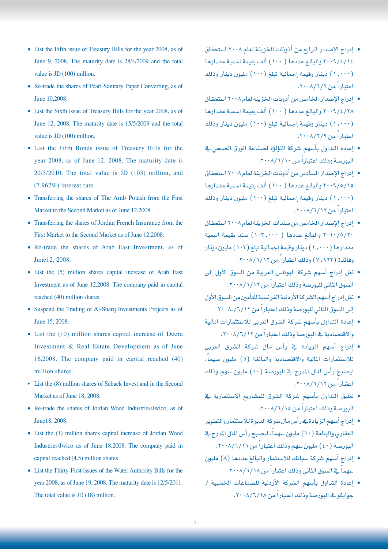- List the Fifth issue of Treasury Bills for the year 2008, as of June 9, 2008. The maturity date is  $28/4/2009$  and the total value is JD  $(100)$  million.
- Re-trade the shares of Pearl-Sanitary Paper Converting, as of June 10,2008.
- List the Sixth issue of Treasury Bills for the year 2008, as of June 12, 2008. The maturity date is  $15/5/2009$  and the total value is JD  $(100)$  million.
- List the Fifth Bonds issue of Treasury Bills for the year 2008, as of June 12, 2008. The maturity date is  $20/5/2010$ . The total value is JD  $(103)$  million, and  $(7.962\%)$  interest rate.
- Transferring the shares of The Arab Potash from the First Market to the Second Market as of June 12,2008.
- Transferring the shares of Jordan French Insurance from the First Market to the Second Market as of June 12,2008.
- Re-trade the shares of Arab East Investment, as of June12, 2008.
- List the (5) million shares capital increase of Arab East Investment as of June 12,2008. The company paid in capital reached  $(40)$  million shares.
- Suspend the Trading of Al-Sharq-Investments Projects as of June 15, 2008.
- List the (10) million shares capital increase of Deera Investment & Real Estate Development as of June  $16,2008$ . The company paid in capital reached  $(40)$ million shares.
- List the (8) million shares of Sabaek Invest and in the Second Market as of June 18, 2008.
- Re-trade the shares of Jordan Wood Industries/Jwico, as of June 18, 2008.
- List the (1) million shares capital increase of Jordan Wood Industries/Jwico as of June 18,2008. The company paid in capital reached  $(4.5)$  million shares
- List the Thirty-First issues of the Water Authority Bills for the year 2008, as of June 19, 2008. The maturity date is  $12/5/2011$ . The total value is JD  $(18)$  million.
- إدراج الإ�صدار الرابع من أذونات اخلزينة لعام 2008 ا�ستحقاق 2009/4/14 والبالغ عددها ) 100( ألف بقيمة ا�سمية مقدارها )1.000( دينار وقيمة إجمالية تبلغ )100( مليون دينار وذلك اعتباراً من ٩/٦/٩×٢٠٠.
- إدراج الإ�صدار اخلام�س من أذونات اخلزينة لعام 2008 ا�ستحقاق 2009/4/28 والبالغ عددها ) 100( ألف بقيمة ا�سمية مقدارها )1.000( دينار وقيمة إجمالية تبلغ )100( مليون دينار وذلك اعتباراً من ٩/٦/٩×٢٠٠.
- إعادة التداول بأ�سهم �شركة الل�ؤل�ؤة ل�صناعة الورق ال�صحي يف البورصة وذلك اعتباراً من ١٠/٦/١٠.
- إدراج الإ�صدار ال�ساد�س من أذونات اخلزينة لعام 2008 ا�ستحقاق 2009/5/15 والبالغ عددها ) 100( ألف بقيمة ا�سمية مقدارها )1.000( دينار وقيمة إجمالية تبلغ )100( مليون دينار وذلك اعتباراً من ۱۲/۱۲/۱۲۰۰۸.
- إدراج الإ�صدار اخلام�س من �سندات اخلزينة لعام 2008 ا�ستحقاق 2010/5/20 والبالغ عددها ) 103.000( �سند بقيمة ا�سمية مقدارها (١,٠٠٠) دينار وقيمة إجمالية تبلغ (١٠٢) مليون دينار وفائدة (٧,٩٦٢) وذلك اعتباراً من ٦٠٠٨/٦/١٢.
- نقل إدراج أ�سهم �شركة البوتا�س العربية من ال�سوق الأول إىل السوق الثاني للبورصة وذلك اعتباراً من ٢٠٠٨/٦/١٢.
- نقل إدراج أ�سهم ال�شركة الأردنية الفرن�سية للتأمني من ال�سوق الأول لى السوق الثاني للبورصة وذلك اعتباراً من ٢٠٠٨./٦/١٢
- إعادة التداول بأ�سهم �شركة ال�شرق العربي لال�ستثمارات املالية والاقتصادية في البورصة وذلك اعتباراً من ٢٠٠٨/٦/١٢.
- إدراج أ�سهم الزيادة يف رأ�س مال �شركة ال�شرق العربي للاستثمارات المالية والاقتصادية والبالغة (٥) مليون سهماً، ليصبح رأس المال المدرج يف البورصة (٤٠) مليون سهم وذلك اعتباراً من ۱۲/۱۲/۱۲۰۰۸.
- تعليق التداول بأسهم شركة الشرق للمشاريع الاستثمارية في البورصة وذلك اعتباراً من ١٥/٦/١٥.
- إدراج أ�سهم الزيادة يف رأ�س مال �شركة الديرة لال�ستثمار والتطوير العقاري والبالغة (١٠) مليون سهماً، ليصبح رأس المال المدرج في البورصة (٤٠) مليون سهم وذلك اعتباراً من ٢٠٠٨/٦/١٦.
- إدراج أ�سهم �شركة �سبائك لال�ستثمار والبالغ عددها )8( مليون سهماً في السوق الثاني وذلك اعتباراً من ١٨/٦/١٨.
- إعادة التداول بأ�سهم ال�شركة الأردنية لل�صناعات اخل�شبية / جوايكو في البورصة وذلك اعتباراً من ١٨/٦/١٨.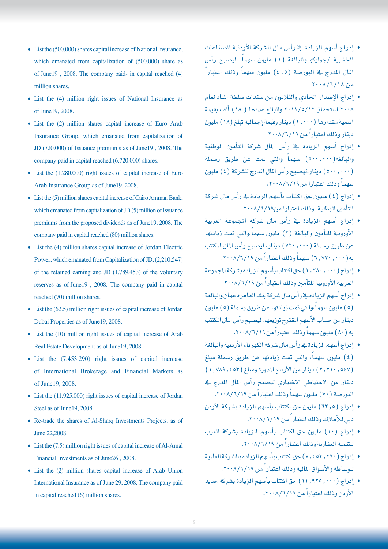- $\bullet$  List the (500.000) shares capital increase of National Insurance, which emanated from capitalization of  $(500.000)$  share as of June 19, 2008. The company paid- in capital reached (4) million shares.
- List the  $(4)$  million right issues of National Insurance as of June 19, 2008.
- List the (2) million shares capital increase of Euro Arab Insurance Group, which emanated from capitalization of JD (720.000) of Issuance premiums as of June 19, 2008. The company paid in capital reached (6.720.000) shares.
- $\bullet$  List the (1.280.000) right issues of capital increase of Euro Arab Insurance Group as of June 19, 2008.
- $\bullet$  List the (5) million shares capital increase of Cairo Amman Bank, which emanated from capitalization of JD  $(5)$  million of Issuance premiums from the proposed dividends as of June 19, 2008. The company paid in capital reached (80) million shares.
- $\bullet$  List the (4) million shares capital increase of Jordan Electric Power, which emanated from Capitalization of JD, (2,210,547) of the retained earning and JD  $(1.789.453)$  of the voluntary reserves as of June 19, 2008. The company paid in capital reached  $(70)$  million shares.
- $\bullet$  List the (62.5) million right issues of capital increase of Jordan Dubai Properties as of June 19, 2008.
- $\bullet$  List the (10) million right issues of capital increase of Arab Real Estate Development as of June 19, 2008.
- $\bullet$  List the  $(7.453.290)$  right issues of capital increase of International Brokerage and Financial Markets as of June 19, 2008.
- $\bullet$  List the (11.925.000) right issues of capital increase of Jordan Steel as of June 19, 2008.
- Re-trade the shares of Al-Sharq-Investments Projects, as of June 22,2008.
- $\bullet$  List the (7.5) million right issues of capital increase of Al-Amal Financial Investments as of June 26, 2008.
- $\bullet$  List the (2) million shares capital increase of Arab Union International Insurance as of June 29, 2008. The company paid in capital reached  $(6)$  million shares.
- إدراج أ�سهم الزيادة يف رأ�س مال ال�شركة الأردنية لل�صناعات الخشبية /جوايكو والبالغة (١) مليون سهماً، ليصبح رأس ً المال المدرج يخ البورصة (٤,٥) مليون سهماً وذلك اعتباراً  $Y \cdot \cdot \Lambda / 7 / 1$  من
- إدراج الإ�صدار احلادي والثالثون من �سندات �سلطة املياه لعام 2008 ا�ستحقاق 2011/5/12 والبالغ عددها ) 18( ألف بقيمة اسمية مقدارها (١,٠٠٠) دينار وقيمة إجمالية تبلغ (١٨) مليون دينار وذلك اعتباراً من ٢٠٠٨/٦/١٩
- إدراج أ�سهم الزيادة يف رأ�س املال �شركة التأمني الوطنية والبالغة(٥٠٠,٠٠٠) سهماً والتي تمت عن طريق رسملة )500.000( دينار،لي�صبح رأ�س املال املدرج لل�شركة )4( مليون سهماً وذلك اعتبارا من١٩/٦/١٩.
- إدراج )4( مليون حق اكتتاب بأ�سهم الزيادة يف رأ�س مال �شركة التأمني الوطنية، وذلك اعتبارا من.2008/6/19
- إدراج أ�سهم الزيادة يف رأ�س مال �شركة املجموعة العربية الأوروبية للتأمين والبالغة (٢) مليون سهماً،والتي تمت زيادتها عن طريق رسملة (٧٢٠,٠٠٠) دينار، ليصبح رأس المال المكتتب به(٦,٧٢٠,٠٠٠) سهماً وذلك اعتباراً من ٢٠٠٨/٦/١٩.
- إدراج )1.280.000( حق اكتتاب بأ�سهم الزيادة ب�شركة املجموعة العربية الأوروبية للتأمين وذلك اعتباراً من ٢٠٠٨/٦/١٩
- إدراج أ�سهم الزيادة يف رأ�س مال �شركة بنك القاهرة عمان والبالغة (٥) مليون سهماً،والتي تمت زيادتها عن طريق رسملة (٥) مليون دينار من حساب الأسهم المقترح توزيعها، ليصبح رأس المال المكتتب به (۸۰) مليون سهماً وذلك اعتباراً من ۱۹/۱/ ۲۰۰۸.
- إدراج أ�سهم الزيادة يف رأ�س مال �شركة الكهرباء الأردنية والبالغة (٤) مليون سهماً، والتي تمت زيادتها عن طريق رسملة مبلغ )2.210.547( دينار من الأرباح املدورة ومبلغ )1.789.453( دينار من الاحتياطي الاختياري ليصبح رأس المال المدرج <u>ي</u>ف البورصة (٧٠) مليون سهماً وذلك اعتباراً من ٢٠٠٨/٦/١٩.
- إدراج )62.5( مليون حق اكتتاب بأ�سهم الزيادة ب�شركة الأردن دبي للأملاك وذلك اعتباراً من ٦/٦/١٩/
- إدراج )10( مليون حق اكتتاب بأ�سهم الزيادة ب�شركة العرب للتنمية العقارية وذلك اعتباراً من ٦/٦/١٩/
- إدراج )7.453.290( حق اكتتاب بأ�سهم الزيادة بال�شركة العاملية للوساطة والأسواق المالية وذلك اعتباراً من ٢٠٠٨/٦/١٩.
- إدراج )11.925.000( حق اكتتاب بأ�سهم الزيادة ب�شركة حديد الأردن وذلك اعتباراً من ٦/٦/١٩/.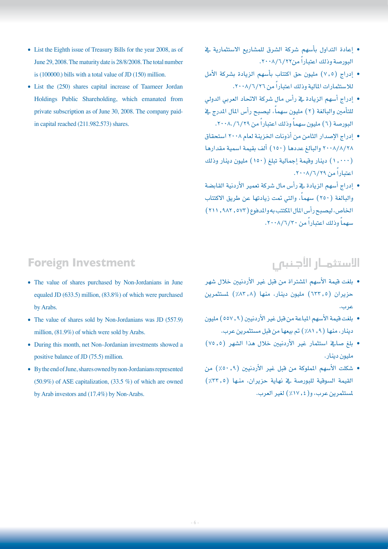- $\bullet$  List the Eighth issue of Treasury Bills for the year 2008, as of June 29, 2008. The maturity date is 28/8/2008. The total number is  $(100000)$  bills with a total value of JD  $(150)$  million.
- List the (250) shares capital increase of Taameer Jordan Holdings Public Shareholding, which emanated from private subscription as of June 30, 2008. The company paid-<br>in capital reached (211.982.573) shares.

- **Foreign Investment**
- The value of shares purchased by Non-Jordanians in June equaled JD  $(633.5)$  million,  $(83.8\%)$  of which were purchased by Arabs.
- The value of shares sold by Non-Jordanians was JD  $(557.9)$ million,  $(81.9%)$  of which were sold by Arabs.
- During this month, net Non-Jordanian investments showed a positive balance of JD  $(75.5)$  million.
- By the end of June, shares owned by non-Jordanians represented  $(50.9\%)$  of ASE capitalization,  $(33.5\%)$  of which are owned by Arab investors and  $(17.4\%)$  by Non-Arabs.
- إعادة التداول بأسهم شركة الشرق للمشاريع الاستثمارية يخ البورصة وذلك اعتباراً من٢٢/٦/٢٢.
- إدراج )7.5( مليون حق اكتتاب بأ�سهم الزيادة ب�شركة الأمل للاستثمارات المالية وذلك اعتباراً من ٢٠٠٨/٦/٢٦.
- إدراج أسهم الزيادة ية رأس مال شركة الاتحاد العربي الدولي للتأمين والبالغة (٢) مليون سهماً، ليصبح رأس المال المدرج في البورصة (٦) مليون سهماً وذلك اعتباراً من ٦/٢٩/.٨٠٨.
- إدراج الإ�صدار الثامن من أذونات اخلزينة لعام 2008 ا�ستحقاق 2008/8/28 والبالغ عددها )150( ألف بقيمة ا�سمية مقدارها )1.000( دينار وقيمة إجمالية تبلغ )150( مليون دينار وذلك اعتباراً من ۲۰۰۸/٦/٢٩.
- إدراج أ�سهم الزيادة يف رأ�س مال �شركة تعمري الأردنية القاب�ضة والبالغة (٢٥٠) سهماً، والتي تمت زيادتها عن طريق الاكتتاب الخاص، ليصبح رأس المال المكتتب به والمدفوع (٥٧٢ , ٩٨٢ , ٢١١) سهماً وذلك اعتباراً من ٢٠٠٨/٦/٢٠.

# الاستثمـار الأجـنبى

- بلغت قيمة الأ�سهم امل�شرتاة من قبل غري الأردنيني خالل �شهر حزيران (٦٢٢,٥) مليون دينار، منها (٨٢,٨٪) لمستثمرين عرب.
- بلغت قيمة الأ�سهم املباعة من قبل غري الأردنيني )557.9( مليون دينار، منها (٩, ٨١٪) تم بيعها من قبل مستثمرين عرب.
- بلغ صائح استثمار غير الأردنيين خلال هذا الشهر (٧٥,٥) مليون دينار.
- �شكلت الأ�سهم اململوكة من قبل غري الأردنيني )%50.9( من القيمة السوقية للبورصة ية نهاية حزيران، منها (٣٢٠٪) مل�ستثمرين عرب، و)%17.4( لغري العرب.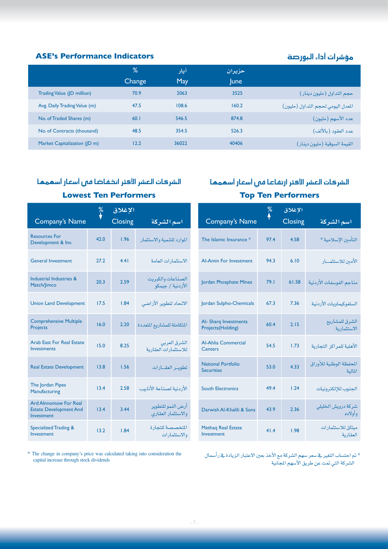#### م�ؤ�شرات أداء البور�صة **Indicators Performance s'ASE**

|                              | %      | آیار  | حزيران      |                                    |
|------------------------------|--------|-------|-------------|------------------------------------|
|                              | Change | May   | <b>lune</b> |                                    |
| Trading Value (JD million)   | 70.9   | 2063  | 3525        | حجم التداول (مليون دينار)          |
| Avg. Daily Trading Value (m) | 47.5   | 108.6 | 160.2       | المعدل اليومي لحجم التداول (مليون) |
| No. of Traded Shares (m)     | 60.1   | 546.5 | 874.8       | عدد الأسهم (مليون)                 |
| No. of Contracts (thousand)  | 48.5   | 354.5 | 526.3       | عدد العقود (بالألف)                |
| Market Capitalization (JD m) | 12.2   | 36022 | 40406       | القيمة السوقية (مليون دينار)       |
|                              |        |       |             |                                    |

#### الشركات العشر الأكثر انخفاضا فه رأسعار أسهمها **Lowest Ten Performers**

**Resources For** 

Match/Jimco

**Projects** 

Investments

The Jordan Pipes

**Manufacturing** 

Investment

Investment

Development & Inv.

#### **الإغالق** % **ا�شم ال�شركة** Closing Name s'Company التأمني الإ�سالمية \* 4.58 97.4 \* Insurance Islamic The الأمني لال�ستثمـــــار 6.10 94.3 Investment For Amin-Al مناجم الفوسفات الأردنية 1.58 1.58 Jordan Phosphate Mines 1.58 ال�سلفوكيماويات الأردنية 7.36 67.3 Chemicals-Sulpho Jordan ال�شرق للم�شاريع اال�ستثمارية Al- Sharq Investments 2.15 60.4 Projects (Holding) Al-Ahlia Commercial الأهلية للمراكز التجارية 1.73 54.5 **Centers** املحفظة الوطنية للأوراق National Portfolio 4.33 53.0 Securities اجلنوب للإلكرتونيات 1.24 49.4 Electronics South شركة درويش الخليل*ي*<br>وأولاد*ه* Darwish Al-Khalili & Sons 43.9 2.36 ميثاق لال�ستثمارات العقارية Methaq Real Estate 1.98 41.4 Investment **الإغالق** % **ا�شم ال�شركة** Closing Name s'Company املوارد للتنمية واال�ستثمار 1.96 42.0 اال�ستثمارات العامة 4.41 27.2 Investment General ال�صناعات والكربيت Industrial Industries & 2.59 20.3 الأردنية / جيمكو االحتاد لتطوير الأرا�ضي 1.84 17.5 Development Land Union Comprehensive Multiple املتكاملة للم�شاريع املتعددة 2.20 16.0 ال�شرق العربي لال�ستثمارات العقارية Arab East For Real Estate 8.25 15.0 تطويـــر العقــــارات 1.56 13.8 Development Estate Real الأردنية ل�صناعة الأنابيب 2.58 13.4 أر�ض النمو للتطوير والاستثمار العقارى 3.44 13.4 Ard Alnnomow For Real **Estate Development And** المتخصصة للتجارة واال�ستثمارات Specialized Trading & 1.84

 $*$  The change in company's price was calculated taking into consideration the capital increase through stock dividends

\* تم احتساب التغير يف سعر سهم الشركة مع الأخذ بعين الاعتبار الزيادة يف رأسمال الشركة التي تمت عن طريق الأسهم المجانية

املالية

الشركات العشر الأكثر ارتفاعا فق أسعار أسهمها

**Top Ten Performers**